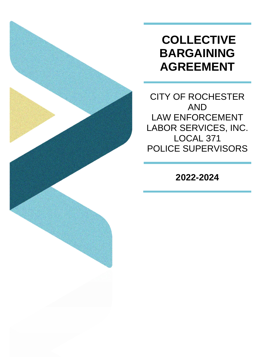# **COLLECTIVE BARGAINING AGREEMENT**

CITY OF ROCHESTER AND LAW ENFORCEMENT LABOR SERVICES, INC. LOCAL 371 POLICE SUPERVISORS

**2022-2024**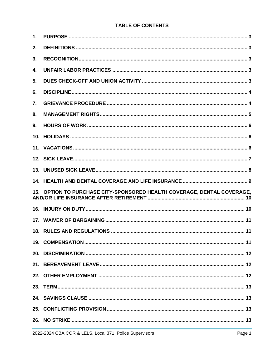# **TABLE OF CONTENTS**

| $\mathbf{1}$ . |                                                                         |  |
|----------------|-------------------------------------------------------------------------|--|
| 2.             |                                                                         |  |
| 3.             |                                                                         |  |
| 4.             |                                                                         |  |
| 5.             |                                                                         |  |
| 6.             |                                                                         |  |
| 7.             |                                                                         |  |
| 8.             |                                                                         |  |
| 9.             |                                                                         |  |
|                |                                                                         |  |
|                |                                                                         |  |
|                |                                                                         |  |
|                |                                                                         |  |
|                |                                                                         |  |
|                |                                                                         |  |
|                | 15. OPTION TO PURCHASE CITY-SPONSORED HEALTH COVERAGE, DENTAL COVERAGE, |  |
|                |                                                                         |  |
|                |                                                                         |  |
|                |                                                                         |  |
|                |                                                                         |  |
|                |                                                                         |  |
|                |                                                                         |  |
|                |                                                                         |  |
|                |                                                                         |  |
|                |                                                                         |  |
|                |                                                                         |  |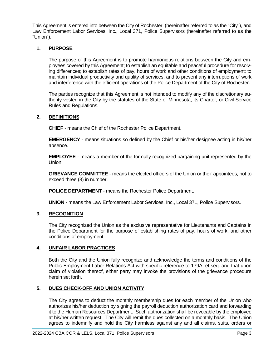This Agreement is entered into between the City of Rochester, (hereinafter referred to as the "City"), and Law Enforcement Labor Services, Inc., Local 371, Police Supervisors (hereinafter referred to as the "Union").

## **1. PURPOSE**

The purpose of this Agreement is to promote harmonious relations between the City and employees covered by this Agreement; to establish an equitable and peaceful procedure for resolving differences; to establish rates of pay, hours of work and other conditions of employment; to maintain individual productivity and quality of services; and to prevent any interruptions of work and interference with the efficient operations of the Police Department of the City of Rochester.

The parties recognize that this Agreement is not intended to modify any of the discretionary authority vested in the City by the statutes of the State of Minnesota, its Charter, or Civil Service Rules and Regulations.

## **2. DEFINITIONS**

**CHIEF** - means the Chief of the Rochester Police Department.

**EMERGENCY** - means situations so defined by the Chief or his/her designee acting in his/her absence.

**EMPLOYEE** - means a member of the formally recognized bargaining unit represented by the Union.

**GRIEVANCE COMMITTEE** - means the elected officers of the Union or their appointees, not to exceed three (3) in number.

**POLICE DEPARTMENT** - means the Rochester Police Department.

**UNION -** means the Law Enforcement Labor Services, Inc., Local 371, Police Supervisors.

## **3. RECOGNITION**

The City recognized the Union as the exclusive representative for Lieutenants and Captains in the Police Department for the purpose of establishing rates of pay, hours of work, and other conditions of employment.

## **4. UNFAIR LABOR PRACTICES**

Both the City and the Union fully recognize and acknowledge the terms and conditions of the Public Employment Labor Relations Act with specific reference to 179A. et seq. and that upon claim of violation thereof, either party may invoke the provisions of the grievance procedure herein set forth.

## **5. DUES CHECK-OFF AND UNION ACTIVITY**

The City agrees to deduct the monthly membership dues for each member of the Union who authorizes his/her deduction by signing the payroll deduction authorization card and forwarding it to the Human Resources Department. Such authorization shall be revocable by the employee at his/her written request. The City will remit the dues collected on a monthly basis. The Union agrees to indemnify and hold the City harmless against any and all claims, suits, orders or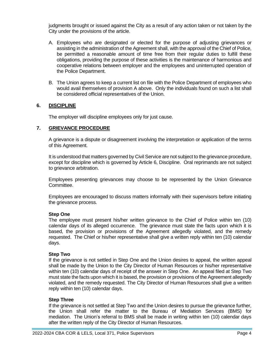judgments brought or issued against the City as a result of any action taken or not taken by the City under the provisions of the article.

- A. Employees who are designated or elected for the purpose of adjusting grievances or assisting in the administration of the Agreement shall, with the approval of the Chief of Police, be permitted a reasonable amount of time free from their regular duties to fulfill these obligations, providing the purpose of these activities is the maintenance of harmonious and cooperative relations between employer and the employees and uninterrupted operation of the Police Department.
- B. The Union agrees to keep a current list on file with the Police Department of employees who would avail themselves of provision A above. Only the individuals found on such a list shall be considered official representatives of the Union.

## **6. DISCIPLINE**

The employer will discipline employees only for just cause.

#### **7. GRIEVANCE PROCEDURE**

A grievance is a dispute or disagreement involving the interpretation or application of the terms of this Agreement.

It is understood that matters governed by Civil Service are not subject to the grievance procedure, except for discipline which is governed by Article 6, Discipline. Oral reprimands are not subject to grievance arbitration.

Employees presenting grievances may choose to be represented by the Union Grievance Committee.

Employees are encouraged to discuss matters informally with their supervisors before initiating the grievance process.

#### **Step One**

The employee must present his/her written grievance to the Chief of Police within ten (10) calendar days of its alleged occurrence. The grievance must state the facts upon which it is based, the provision or provisions of the Agreement allegedly violated, and the remedy requested. The Chief or his/her representative shall give a written reply within ten (10) calendar days.

#### **Step Two**

If the grievance is not settled in Step One and the Union desires to appeal, the written appeal shall be made by the Union to the City Director of Human Resources or his/her representative within ten (10) calendar days of receipt of the answer in Step One. An appeal filed at Step Two must state the facts upon which it is based, the provision or provisions of the Agreement allegedly violated, and the remedy requested. The City Director of Human Resources shall give a written reply within ten (10) calendar days.

#### **Step Three**

If the grievance is not settled at Step Two and the Union desires to pursue the grievance further, the Union shall refer the matter to the Bureau of Mediation Services (BMS) for mediation. The Union's referral to BMS shall be made in writing within ten (10) calendar days after the written reply of the City Director of Human Resources.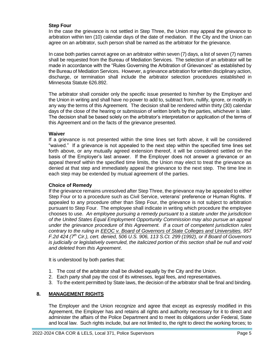## **Step Four**

In the case the grievance is not settled in Step Three, the Union may appeal the grievance to arbitration within ten (10) calendar days of the date of mediation. If the City and the Union can agree on an arbitrator, such person shall be named as the arbitrator for the grievance.

In case both parties cannot agree on an arbitrator within seven (7) days, a list of seven (7) names shall be requested from the Bureau of Mediation Services. The selection of an arbitrator will be made in accordance with the "Rules Governing the Arbitration of Grievances" as established by the Bureau of Mediation Services. However, a grievance arbitration for written disciplinary action, discharge, or termination shall include the arbitrator selection procedures established in Minnesota Statute 626.892.

The arbitrator shall consider only the specific issue presented to him/her by the Employer and the Union in writing and shall have no power to add to, subtract from, nullify, ignore, or modify in any way the terms of this Agreement. The decision shall be rendered within thirty (30) calendar days of the close of the hearing or submission of written briefs by the parties, whichever is later. The decision shall be based solely on the arbitrator's interpretation or application of the terms of this Agreement and on the facts of the grievance presented.

#### **Waiver**

If a grievance is not presented within the time lines set forth above, it will be considered "waived." If a grievance is not appealed to the next step within the specified time lines set forth above, or any mutually agreed extension thereof, it will be considered settled on the basis of the Employer's last answer. If the Employer does not answer a grievance or an appeal thereof within the specified time limits, the Union may elect to treat the grievance as denied at that step and immediately appeal the grievance to the next step. The time line in each step may be extended by mutual agreement of the parties.

#### **Choice of Remedy**

If the grievance remains unresolved after Step Three, the grievance may be appealed to either Step Four or to a procedure such as Civil Service, veterans' preference or Human Rights. If appealed to any procedure other than Step Four, the grievance is not subject to arbitration pursuant to Step Four. The employee shall indicate in writing which procedure the employee chooses to use. *An employee pursuing a remedy pursuant to a statute under the jurisdiction of the United States Equal Employment Opportunity Commission may also pursue an appeal under the grievance procedure of this Agreement. If a court of competent jurisdiction rules contrary to the ruling in EEOC v. Board of Governors of State Colleges and Universities, 957 F.2d 424 (7th Cir.), cert. denied, 506 U.S. 906, 113 S.Ct. 299 (1992), or if Board of Governors is judicially or legislatively overruled, the italicized portion of this section shall be null and void and deleted from this Agreement*.

It is understood by both parties that:

- 1. The cost of the arbitrator shall be divided equally by the City and the Union.
- 2. Each party shall pay the cost of its witnesses, legal fees, and representatives.
- 3. To the extent permitted by State laws, the decision of the arbitrator shall be final and binding.

## **8. MANAGEMENT RIGHTS**

The Employer and the Union recognize and agree that except as expressly modified in this Agreement, the Employer has and retains all rights and authority necessary for it to direct and administer the affairs of the Police Department and to meet its obligations under Federal, State and local law. Such rights include, but are not limited to, the right to direct the working forces; to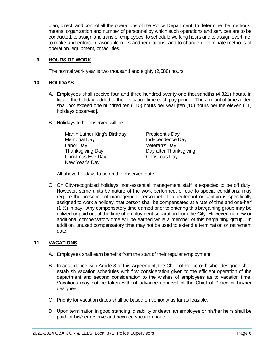plan, direct, and control all the operations of the Police Department; to determine the methods, means, organization and number of personnel by which such operations and services are to be conducted; to assign and transfer employees; to schedule working hours and to assign overtime; to make and enforce reasonable rules and regulations; and to change or eliminate methods of operation, equipment, or facilities.

## **9. HOURS OF WORK**

The normal work year is two thousand and eighty (2,080) hours.

#### **10. HOLIDAYS**

- A. Employees shall receive four and three hundred twenty-one thousandths (4.321) hours, in lieu of the holiday, added to their vacation time each pay period. The amount of time added shall not exceed one hundred ten (110) hours per year [ten (10) hours per the eleven (11) holidays observed].
- B. Holidays to be observed will be:

Martin Luther King's Birthday President's Day Memorial Day **Independence Day** Labor Day Veteran's Day Thanksgiving Day **Day Access 12** Day after Thanksgiving Christmas Eve Day Christmas Day New Year's Day

All above holidays to be on the observed date.

C. On City-recognized holidays, non-essential management staff is expected to be off duty. However, some units by nature of the work performed, or due to special conditions, may require the presence of management personnel. If a lieutenant or captain is specifically assigned to work a holiday, that person shall be compensated at a rate of time and one-half  $(1 \frac{1}{2})$  in pay. Any compensatory time earned prior to entering this bargaining group may be utilized or paid out at the time of employment separation from the City. However, no new or additional compensatory time will be earned while a member of this bargaining group. In addition, unused compensatory time may not be used to extend a termination or retirement date.

## **11. VACATIONS**

- A. Employees shall earn benefits from the start of their regular employment.
- B. In accordance with Article 8 of this Agreement, the Chief of Police or his/her designee shall establish vacation schedules with first consideration given to the efficient operation of the department and second consideration to the wishes of employees as to vacation time. Vacations may not be taken without advance approval of the Chief of Police or his/her desianee.
- C. Priority for vacation dates shall be based on seniority as far as feasible.
- D. Upon termination in good standing, disability or death, an employee or his/her heirs shall be paid for his/her reserve and accrued vacation hours.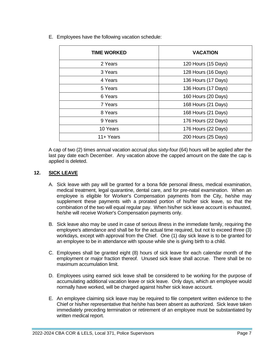| <b>TIME WORKED</b> | <b>VACATION</b>     |
|--------------------|---------------------|
| 2 Years            | 120 Hours (15 Days) |
| 3 Years            | 128 Hours (16 Days) |
| 4 Years            | 136 Hours (17 Days) |
| 5 Years            | 136 Hours (17 Days) |
| 6 Years            | 160 Hours (20 Days) |
| 7 Years            | 168 Hours (21 Days) |
| 8 Years            | 168 Hours (21 Days) |
| 9 Years            | 176 Hours (22 Days) |
| 10 Years           | 176 Hours (22 Days) |
| $11 +$ Years       | 200 Hours (25 Days) |

E. Employees have the following vacation schedule:

A cap of two (2) times annual vacation accrual plus sixty-four (64) hours will be applied after the last pay date each December. Any vacation above the capped amount on the date the cap is applied is deleted.

## **12. SICK LEAVE**

- A. Sick leave with pay will be granted for a bona fide personal illness, medical examination, medical treatment, legal quarantine, dental care, and for pre-natal examination. When an employee is eligible for Worker's Compensation payments from the City, he/she may supplement these payments with a prorated portion of his/her sick leave, so that the combination of the two will equal regular pay. When his/her sick leave account is exhausted, he/she will receive Worker's Compensation payments only.
- B. Sick leave also may be used in case of serious illness in the immediate family, requiring the employee's attendance and shall be for the actual time required, but not to exceed three (3) workdays, except with approval from the Chief. One (1) day sick leave is to be granted for an employee to be in attendance with spouse while she is giving birth to a child.
- C. Employees shall be granted eight (8) hours of sick leave for each calendar month of the employment or major fraction thereof. Unused sick leave shall accrue. There shall be no maximum accumulation limit.
- D. Employees using earned sick leave shall be considered to be working for the purpose of accumulating additional vacation leave or sick leave. Only days, which an employee would normally have worked, will be charged against his/her sick leave account.
- E. An employee claiming sick leave may be required to file competent written evidence to the Chief or his/her representative that he/she has been absent as authorized. Sick leave taken immediately preceding termination or retirement of an employee must be substantiated by written medical report.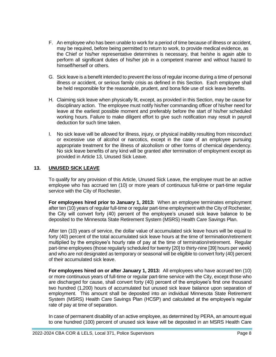- F. An employee who has been unable to work for a period of time because of illness or accident, may be required, before being permitted to return to work, to provide medical evidence, as the Chief or his/her representative determines is necessary, that he/she is again able to perform all significant duties of his/her job in a competent manner and without hazard to himself/herself or others.
- G. Sick leave is a benefit intended to prevent the loss of regular income during a time of personal illness or accident, or serious family crisis as defined in this Section. Each employee shall be held responsible for the reasonable, prudent, and bona fide use of sick leave benefits.
- H. Claiming sick leave when physically fit, except, as provided in this Section, may be cause for disciplinary action. The employee must notify his/her commanding officer of his/her need for leave at the earliest possible moment and preferably before the start of his/her scheduled working hours. Failure to make diligent effort to give such notification may result in payroll deduction for such time taken.
- I. No sick leave will be allowed for illness, injury, or physical inability resulting from misconduct or excessive use of alcohol or narcotics, except in the case of an employee pursuing appropriate treatment for the illness of alcoholism or other forms of chemical dependency. No sick leave benefits of any kind will be granted after termination of employment except as provided in Article 13, Unused Sick Leave.

## **13. UNUSED SICK LEAVE**

To qualify for any provision of this Article, Unused Sick Leave, the employee must be an active employee who has accrued ten (10) or more years of continuous full-time or part-time regular service with the City of Rochester.

For employees hired prior to January 1, 2013: When an employee terminates employment after ten (10) years of regular full-time or regular part-time employment with the City of Rochester, the City will convert forty (40) percent of the employee's unused sick leave balance to be deposited to the Minnesota State Retirement System (MSRS) Health Care Savings Plan.

After ten (10) years of service, the dollar value of accumulated sick leave hours will be equal to forty (40) percent of the total accumulated sick leave hours at the time of termination/retirement multiplied by the employee's hourly rate of pay at the time of termination/retirement. Regular part-time employees (those regularly scheduled for twenty [20] to thirty-nine [39] hours per week) and who are not designated as temporary or seasonal will be eligible to convert forty (40) percent of their accumulated sick leave.

**For employees hired on or after January 1, 2013:** All employees who have accrued ten (10) or more continuous years of full-time or regular part-time service with the City, except those who are discharged for cause, shall convert forty (40) percent of the employee's first one thousand two hundred (1,200) hours of accumulated but unused sick leave balance upon separation of employment. This amount shall be deposited into an individual Minnesota State Retirement System (MSRS) Health Care Savings Plan (HCSP) and calculated at the employee's regular rate of pay at time of separation.

In case of permanent disability of an active employee, as determined by PERA, an amount equal to one hundred (100) percent of unused sick leave will be deposited in an MSRS Health Care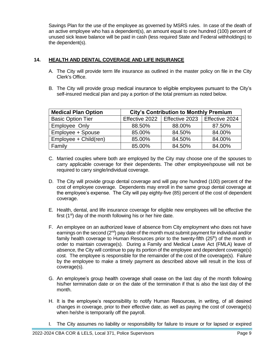Savings Plan for the use of the employee as governed by MSRS rules. In case of the death of an active employee who has a dependent(s), an amount equal to one hundred (100) percent of unused sick leave balance will be paid in cash (less required State and Federal withholdings) to the dependent(s).

## **14. HEALTH AND DENTAL COVERAGE AND LIFE INSURANCE**

- A. The City will provide term life insurance as outlined in the master policy on file in the City Clerk's Office.
- B. The City will provide group medical insurance to eligible employees pursuant to the City's self-insured medical plan and pay a portion of the total premium as noted below.

| <b>Medical Plan Option</b> | <b>City's Contribution to Monthly Premium</b> |        |                |  |  |  |  |
|----------------------------|-----------------------------------------------|--------|----------------|--|--|--|--|
| <b>Basic Option Tier</b>   | Effective 2022   Effective 2023               |        | Effective 2024 |  |  |  |  |
| Employee Only              | 88.50%                                        | 88.00% | 87.50%         |  |  |  |  |
| Employee + Spouse          | 85.00%                                        | 84.50% | 84.00%         |  |  |  |  |
| Employee + Child(ren)      | 85.00%                                        | 84.50% | 84.00%         |  |  |  |  |
| Family                     | 85.00%                                        | 84.50% | 84.00%         |  |  |  |  |

- C. Married couples where both are employed by the City may choose one of the spouses to carry applicable coverage for their dependents. The other employee/spouse will not be required to carry single/individual coverage.
- D. The City will provide group dental coverage and will pay one hundred (100) percent of the cost of employee coverage. Dependents may enroll in the same group dental coverage at the employee's expense. The City will pay eighty-five (85) percent of the cost of dependent coverage.
- E. Health, dental, and life insurance coverage for eligible new employees will be effective the first  $(1<sup>st</sup>)$  day of the month following his or her hire date.
- F. An employee on an authorized leave of absence from City employment who does not have earnings on the second  $(2^{nd})$  pay date of the month must submit payment for individual and/or family health coverage to Human Resources prior to the twenty-fifth  $(25<sup>th</sup>)$  of the month in order to maintain coverage(s). During a Family and Medical Leave Act (FMLA) leave of absence, the City will continue to pay its portion of the employee and dependent coverage(s) cost. The employee is responsible for the remainder of the cost of the coverage(s). Failure by the employee to make a timely payment as described above will result in the loss of coverage(s).
- G. An employee's group health coverage shall cease on the last day of the month following his/her termination date or on the date of the termination if that is also the last day of the month.
- H. It is the employee's responsibility to notify Human Resources, in writing, of all desired changes in coverage, prior to their effective date, as well as paying the cost of coverage(s) when he/she is temporarily off the payroll.
- I. The City assumes no liability or responsibility for failure to insure or for lapsed or expired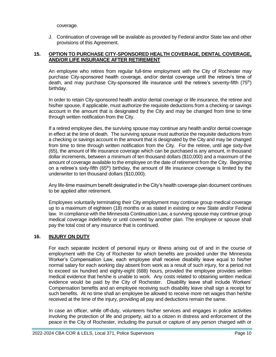coverage.

J. Continuation of coverage will be available as provided by Federal and/or State law and other provisions of this Agreement.

## **15. OPTION TO PURCHASE CITY-SPONSORED HEALTH COVERAGE, DENTAL COVERAGE, AND/OR LIFE INSURANCE AFTER RETIREMENT**

An employee who retires from regular full-time employment with the City of Rochester may purchase City-sponsored health coverage, and/or dental coverage until the retiree's time of death, and may purchase City-sponsored life insurance until the retiree's seventy-fifth (75<sup>th</sup>) birthday.

In order to retain City-sponsored health and/or dental coverage or life insurance, the retiree and his/her spouse, if applicable, must authorize the requisite deductions from a checking or savings account in the amount that is designated by the City and may be changed from time to time through written notification from the City.

If a retired employee dies, the surviving spouse may continue any health and/or dental coverage in effect at the time of death. The surviving spouse must authorize the requisite deductions from a checking or savings account in the amount that is designated by the City and may be changed from time to time through written notification from the City. For the retiree, until age sixty-five (65), the amount of life insurance coverage which can be purchased is any amount, in thousand dollar increments, between a minimum of ten thousand dollars (\$10,000) and a maximum of the amount of coverage available to the employee on the date of retirement from the City. Beginning on a retiree's sixty-fifth ( $65<sup>th</sup>$ ) birthday, the amount of life insurance coverage is limited by the underwriter to ten thousand dollars (\$10,000).

Any life-time maximum benefit designated in the City's health coverage plan document continues to be applied after retirement.

Employees voluntarily terminating their City employment may continue group medical coverage up to a maximum of eighteen (18) months or as stated in existing or new State and/or Federal law. In compliance with the Minnesota Continuation Law, a surviving spouse may continue group medical coverage indefinitely or until covered by another plan. The employee or spouse shall pay the total cost of any insurance that is continued.

## **16. INJURY ON DUTY**

For each separate incident of personal injury or illness arising out of and in the course of employment with the City of Rochester for which benefits are provided under the Minnesota Worker's Compensation Law, each employee shall receive disability leave equal to his/her normal salary for each working day absent from work as a result of such injury, for a period not to exceed six hundred and eighty-eight (688) hours, provided the employee provides written medical evidence that he/she is unable to work. Any costs related to obtaining written medical evidence would be paid by the City of Rochester. Disability leave shall include Workers' Compensation benefits and an employee receiving such disability leave shall sign a receipt for such benefits. At no time shall an employee be allowed to receive more net wages than he/she received at the time of the injury, providing all pay and deductions remain the same.

In case an officer, while off-duty, volunteers his/her services and engages in police activities involving the protection of life and property, aid to a citizen in distress and enforcement of the peace in the City of Rochester, including the pursuit or capture of any person charged with or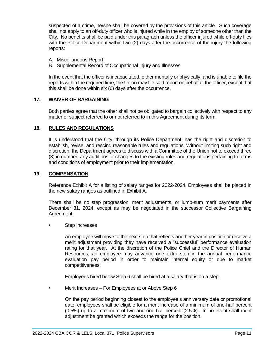suspected of a crime, he/she shall be covered by the provisions of this article. Such coverage shall not apply to an off-duty officer who is injured while in the employ of someone other than the City. No benefits shall be paid under this paragraph unless the officer injured while off-duty files with the Police Department within two (2) days after the occurrence of the injury the following reports:

- A. Miscellaneous Report
- B. Supplemental Record of Occupational Injury and Illnesses

In the event that the officer is incapacitated, either mentally or physically, and is unable to file the reports within the required time, the Union may file said report on behalf of the officer, except that this shall be done within six (6) days after the occurrence.

#### **17. WAIVER OF BARGAINING**

Both parties agree that the other shall not be obligated to bargain collectively with respect to any matter or subject referred to or not referred to in this Agreement during its term.

#### **18. RULES AND REGULATIONS**

It is understood that the City, through its Police Department, has the right and discretion to establish, revise, and rescind reasonable rules and regulations. Without limiting such right and discretion, the Department agrees to discuss with a Committee of the Union not to exceed three (3) in number, any additions or changes to the existing rules and regulations pertaining to terms and conditions of employment prior to their implementation.

#### **19. COMPENSATION**

Reference Exhibit A for a listing of salary ranges for 2022-2024. Employees shall be placed in the new salary ranges as outlined in Exhibit A.

There shall be no step progression, merit adjustments, or lump-sum merit payments after December 31, 2024, except as may be negotiated in the successor Collective Bargaining Agreement.

Step Increases

An employee will move to the next step that reflects another year in position or receive a merit adjustment providing they have received a "successful" performance evaluation rating for that year. At the discretion of the Police Chief and the Director of Human Resources, an employee may advance one extra step in the annual performance evaluation pay period in order to maintain internal equity or due to market competitiveness.

Employees hired below Step 6 shall be hired at a salary that is on a step.

• Merit Increases – For Employees at or Above Step 6

On the pay period beginning closest to the employee's anniversary date or promotional date, employees shall be eligible for a merit increase of a minimum of one-half percent (0.5%) up to a maximum of two and one-half percent (2.5%). In no event shall merit adjustment be granted which exceeds the range for the position.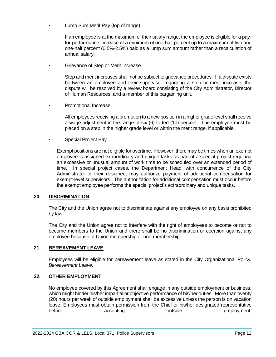• Lump Sum Merit Pay (top of range)

If an employee is at the maximum of their salary range, the employee is eligible for a payfor-performance increase of a minimum of one-half percent up to a maximum of two and one-half percent (0.5%-2.5%) paid as a lump sum amount rather than a recalculation of annual salary.

• Grievance of Step or Merit Increase

Step and merit increases shall not be subject to grievance procedures. If a dispute exists be-tween an employee and their supervisor regarding a step or merit increase, the dispute will be resolved by a review board consisting of the City Administrator, Director of Human Resources, and a member of this bargaining unit.

• Promotional Increase

All employees receiving a promotion to a new position in a higher grade level shall receive a wage adjustment in the range of six (6) to ten (10) percent. The employee must be placed on a step in the higher grade level or within the merit range, if applicable.

• Special Project Pay

Exempt positions are not eligible for overtime. However, there may be times when an exempt employee is assigned extraordinary and unique tasks as part of a special project requiring an excessive or unusual amount of work time to be scheduled over an extended period of time. In special project cases, the Department Head, with concurrence of the City Administrator or their designee, may authorize payment of additional compensation for exempt-level supervisors. The authorization for additional compensation must occur before the exempt employee performs the special project's extraordinary and unique tasks.

#### **20. DISCRIMINATION**

The City and the Union agree not to discriminate against any employee on any basis prohibited by law.

The City and the Union agree not to interfere with the right of employees to become or not to become members to the Union and there shall be no discrimination or coercion against any employee because of Union membership or non-membership.

## **21. BEREAVEMENT LEAVE**

Employees will be eligible for bereavement leave as stated in the City Organizational Policy, *Bereavement Leave*.

## **22. OTHER EMPLOYMENT**

No employee covered by this Agreement shall engage in any outside employment or business, which might hinder his/her impartial or objective performance of his/her duties. More than twenty (20) hours per week of outside employment shall be excessive unless the person is on vacation leave. Employees must obtain permission from the Chief or his/her designated representative before accepting and the set outside before employment.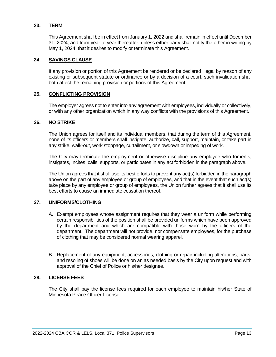## **23. TERM**

This Agreement shall be in effect from January 1, 2022 and shall remain in effect until December 31, 2024, and from year to year thereafter, unless either party shall notify the other in writing by May 1, 2024, that it desires to modify or terminate this Agreement.

#### **24. SAVINGS CLAUSE**

If any provision or portion of this Agreement be rendered or be declared illegal by reason of any existing or subsequent statute or ordinance or by a decision of a court, such invalidation shall both affect the remaining provision or portions of this Agreement.

## **25. CONFLICTING PROVISION**

The employer agrees not to enter into any agreement with employees, individually or collectively, or with any other organization which in any way conflicts with the provisions of this Agreement.

## **26. NO STRIKE**

The Union agrees for itself and its individual members, that during the term of this Agreement, none of its officers or members shall instigate, authorize, call, support, maintain, or take part in any strike, walk-out, work stoppage, curtailment, or slowdown or impeding of work.

The City may terminate the employment or otherwise discipline any employee who foments, instigates, incites, calls, supports, or participates in any act forbidden in the paragraph above.

The Union agrees that it shall use its best efforts to prevent any act(s) forbidden in the paragraph above on the part of any employee or group of employees, and that in the event that such act(s) take place by any employee or group of employees, the Union further agrees that it shall use its best efforts to cause an immediate cessation thereof.

## **27. UNIFORMS/CLOTHING**

- A. Exempt employees whose assignment requires that they wear a uniform while performing certain responsibilities of the position shall be provided uniforms which have been approved by the department and which are compatible with those worn by the officers of the department. The department will not provide, nor compensate employees, for the purchase of clothing that may be considered normal wearing apparel.
- B. Replacement of any equipment, accessories, clothing or repair including alterations, parts, and resoling of shoes will be done on an as needed basis by the City upon request and with approval of the Chief of Police or his/her designee.

## **28. LICENSE FEES**

The City shall pay the license fees required for each employee to maintain his/her State of Minnesota Peace Officer License.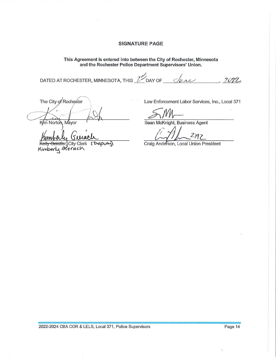## **SIGNATURE PAGE**

This Agreement is entered into between the City of Rochester, Minnesota<br>and the Rochester Police Department Supervisors' Union.

DATED AT ROCHESTER, MINNESOTA, THIS  $\mathbb{Z}^n$  DAY OF  $\_\_$  $2022$ 

The City of Rochester

Kim Norton, Mayor

(Deputy) Geistler, City Clerk

Kimberly Gierach

Law Enforcement Labor Services, Inc., Local 371

Sean McKnight, Business Agent

Craig Anderson, Local Union President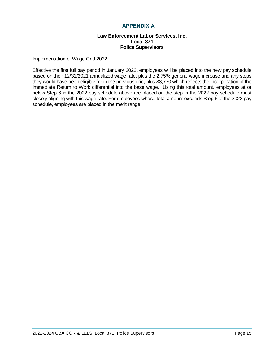## **APPENDIX A**

#### **Law Enforcement Labor Services, Inc. Local 371 Police Supervisors**

Implementation of Wage Grid 2022

Effective the first full pay period in January 2022, employees will be placed into the new pay schedule based on their 12/31/2021 annualized wage rate, plus the 2.75% general wage increase and any steps they would have been eligible for in the previous grid, plus \$3,770 which reflects the incorporation of the Immediate Return to Work differential into the base wage. Using this total amount, employees at or below Step 6 in the 2022 pay schedule above are placed on the step in the 2022 pay schedule most closely aligning with this wage rate. For employees whose total amount exceeds Step 6 of the 2022 pay schedule, employees are placed in the merit range.